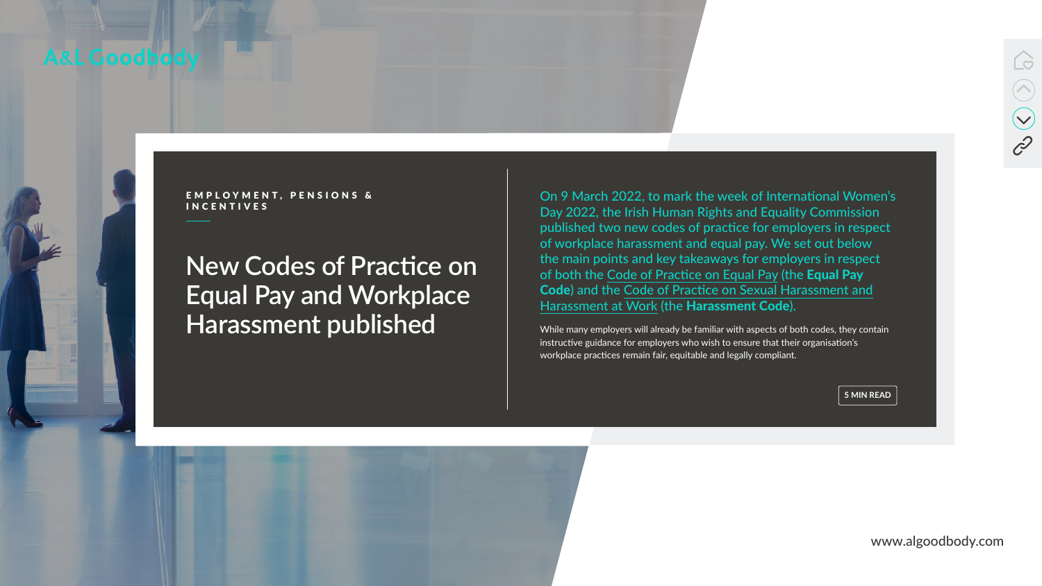

EMPLOYMENT, PENSIONS &

www.algoodbody.com



# **New Codes of Practice on Equal Pay and Workplace Harassment published**



EMPLOYMENT, PENSIONS & COMPONANT On 9 March 2022, to mark the week of International Women's<br>INCENTIVES Day 2022, the Irish Human Rights and Equality Commission published two new codes of practice for employers in respect of workplace harassment and equal pay. We set out below the main points and key takeaways for employers in respect of both the [Code of Practice on Equal Pay](https://www.ihrec.ie/app/uploads/2022/03/Codes-of-Practice-Equal-Pay-FA_Digital.pdf) (the Equal Pay Code) and the [Code of Practice on Sexual Harassment and](https://www.ihrec.ie/app/uploads/2022/03/Codes-of-Practice-Sexual-Harassment-FA_Digital.pdf) [Harassment at Work](https://www.ihrec.ie/app/uploads/2022/03/Codes-of-Practice-Sexual-Harassment-FA_Digital.pdf) (the Harassment Code).

> While many employers will already be familiar with aspects of both codes, they contain instructive guidance for employers who wish to ensure that their organisation's workplace practices remain fair, equitable and legally compliant.

> > **5 MIN READ**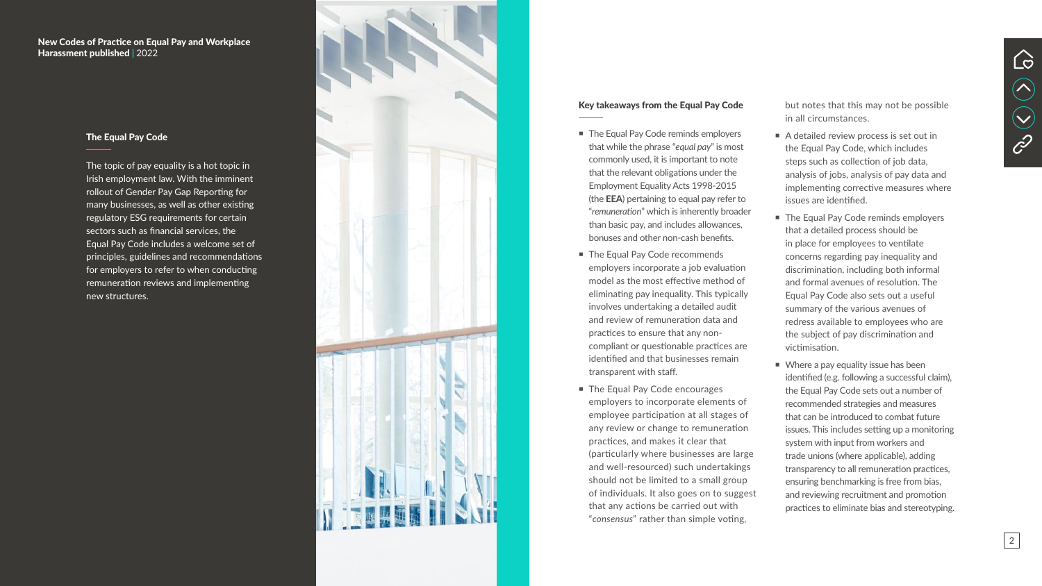#### Key takeaways from the Equal Pay Code

- The Equal Pay Code reminds employers that while the phrase "*equal pay*" is most commonly used, it is important to note that the relevant obligations under the Employment Equality Acts 1998-2015 (the EEA) pertaining to equal pay refer to "*remuneration*" which is inherently broader than basic pay, and includes allowances, bonuses and other non-cash benefits.
- The Equal Pay Code recommends employers incorporate a job evaluation model as the most effective method of eliminating pay inequality. This typically involves undertaking a detailed audit and review of remuneration data and practices to ensure that any noncompliant or questionable practices are identified and that businesses remain transparent with staff.
- **The Equal Pay Code encourages** employers to incorporate elements of employee participation at all stages of any review or change to remuneration practices, and makes it clear that (particularly where businesses are large and well-resourced) such undertakings should not be limited to a small group of individuals. It also goes on to suggest that any actions be carried out with "*consensus*" rather than simple voting,
- A detailed review process is set out in the Equal Pay Code, which includes steps such as collection of job data, analysis of jobs, analysis of pay data and implementing corrective measures where issues are identified.
- The Equal Pay Code reminds employers that a detailed process should be in place for employees to ventilate concerns regarding pay inequality and discrimination, including both informal and formal avenues of resolution. The Equal Pay Code also sets out a useful summary of the various avenues of redress available to employees who are the subject of pay discrimination and victimisation.
- **Notal** Where a pay equality issue has been identified (e.g. following a successful claim), the Equal Pay Code sets out a number of recommended strategies and measures that can be introduced to combat future issues. This includes setting up a monitoring system with input from workers and trade unions (where applicable), adding transparency to all remuneration practices, ensuring benchmarking is free from bias, and reviewing recruitment and promotion practices to eliminate bias and stereotyping.

New Codes of Practice on Equal Pay and Workplace Harassment published | 2022



but notes that this may not be possible in all circumstances.



#### The Equal Pay Code

The topic of pay equality is a hot topic in Irish employment law. With the imminent rollout of Gender Pay Gap Reporting for many businesses, as well as other existing regulatory ESG requirements for certain sectors such as financial services, the Equal Pay Code includes a welcome set of principles, guidelines and recommendations for employers to refer to when conducting remuneration reviews and implementing new structures.

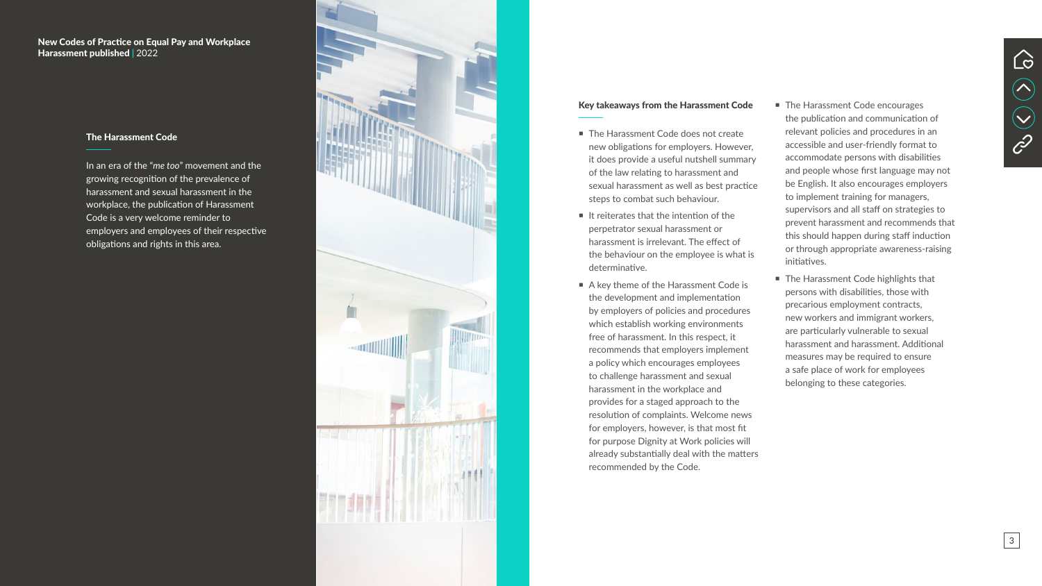### Key takeaways from the Harassment Code

- The Harassment Code does not create new obligations for employers. However, it does provide a useful nutshell summary of the law relating to harassment and sexual harassment as well as best practice steps to combat such behaviour.
- $\blacksquare$  It reiterates that the intention of the perpetrator sexual harassment or harassment is irrelevant. The effect of the behaviour on the employee is what is determinative.
- A key theme of the Harassment Code is the development and implementation by employers of policies and procedures which establish working environments free of harassment. In this respect, it recommends that employers implement a policy which encourages employees to challenge harassment and sexual harassment in the workplace and provides for a staged approach to the resolution of complaints. Welcome news for employers, however, is that most fit for purpose Dignity at Work policies will already substantially deal with the matters recommended by the Code.
- The Harassment Code encourages the publication and communication of relevant policies and procedures in an accessible and user-friendly format to accommodate persons with disabilities and people whose first language may not be English. It also encourages employers to implement training for managers, supervisors and all staff on strategies to prevent harassment and recommends that this should happen during staff induction or through appropriate awareness-raising initiatives.
- The Harassment Code highlights that persons with disabilities, those with precarious employment contracts, new workers and immigrant workers, are particularly vulnerable to sexual harassment and harassment. Additional measures may be required to ensure a safe place of work for employees belonging to these categories.

### New Codes of Practice on Equal Pay and Workplace Harassment published | 2022





#### The Harassment Code

In an era of the "*me too*" movement and the growing recognition of the prevalence of harassment and sexual harassment in the workplace, the publication of Harassment Code is a very welcome reminder to employers and employees of their respective obligations and rights in this area.

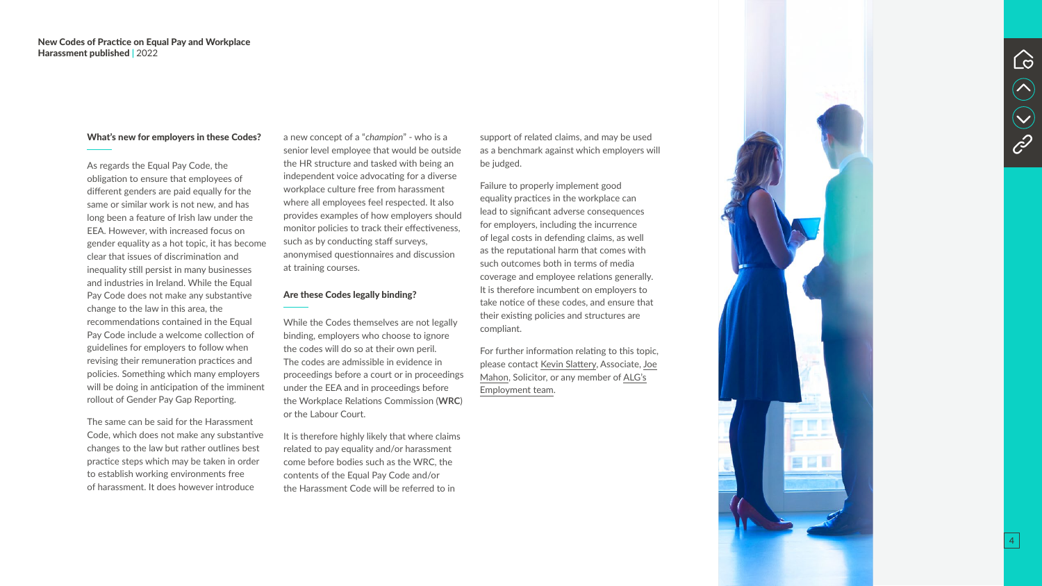#### What's new for employers in these Codes?

As regards the Equal Pay Code, the obligation to ensure that employees of different genders are paid equally for the same or similar work is not new, and has long been a feature of Irish law under the EEA. However, with increased focus on gender equality as a hot topic, it has become clear that issues of discrimination and inequality still persist in many businesses and industries in Ireland. While the Equal Pay Code does not make any substantive change to the law in this area, the recommendations contained in the Equal Pay Code include a welcome collection of guidelines for employers to follow when revising their remuneration practices and policies. Something which many employers will be doing in anticipation of the imminent rollout of Gender Pay Gap Reporting.

The same can be said for the Harassment Code, which does not make any substantive changes to the law but rather outlines best practice steps which may be taken in order to establish working environments free of harassment. It does however introduce

a new concept of a "*champion*" - who is a senior level employee that would be outside the HR structure and tasked with being an independent voice advocating for a diverse workplace culture free from harassment where all employees feel respected. It also provides examples of how employers should monitor policies to track their effectiveness, such as by conducting staff surveys, anonymised questionnaires and discussion at training courses.

#### Are these Codes legally binding?

While the Codes themselves are not legally binding, employers who choose to ignore the codes will do so at their own peril. The codes are admissible in evidence in proceedings before a court or in proceedings under the EEA and in proceedings before the Workplace Relations Commission (**WRC**) or the Labour Court.

It is therefore highly likely that where claims related to pay equality and/or harassment come before bodies such as the WRC, the contents of the Equal Pay Code and/or the Harassment Code will be referred to in

support of related claims, and may be used





as a benchmark against which employers will be judged. Failure to properly implement good equality practices in the workplace can lead to significant adverse consequences for employers, including the incurrence of legal costs in defending claims, as well as the reputational harm that comes with such outcomes both in terms of media coverage and employee relations generally. It is therefore incumbent on employers to take notice of these codes, and ensure that their existing policies and structures are compliant. For further information relating to this topic, please contact [Kevin Slattery,](https://www.algoodbody.com/our-people/kevin-slattery) Associate, [Joe](mailto:jmahon%40algoodbody.com?subject=) [Mahon](mailto:jmahon%40algoodbody.com?subject=), Solicitor, or any member of [ALG's](https://www.algoodbody.com/services-people/employment-pensions-incentives) [Employment team](https://www.algoodbody.com/services-people/employment-pensions-incentives).